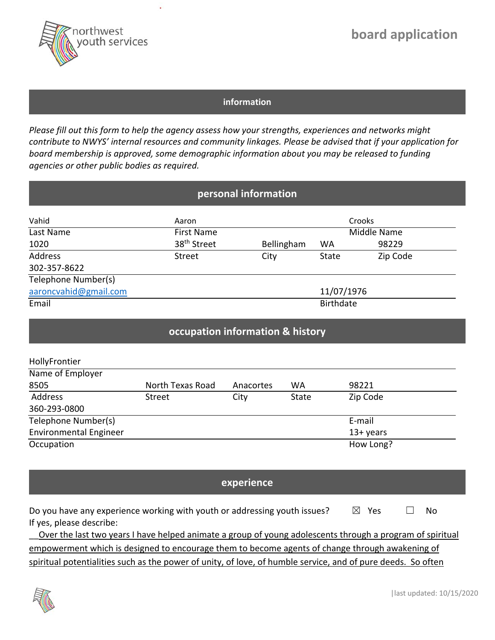

# **board application**

#### **information**

*Please fill out this form to help the agency assess how your strengths, experiences and networks might contribute to NWYS' internal resources and community linkages. Please be advised that if your application for board membership is approved, some demographic information about you may be released to funding agencies or other public bodies as required.* 

| personal information  |                         |                  |              |          |  |
|-----------------------|-------------------------|------------------|--------------|----------|--|
| Vahid                 | Aaron                   |                  |              | Crooks   |  |
| Last Name             | <b>First Name</b>       |                  | Middle Name  |          |  |
| 1020                  | 38 <sup>th</sup> Street | Bellingham       | <b>WA</b>    | 98229    |  |
| Address               | <b>Street</b>           | City             | <b>State</b> | Zip Code |  |
| 302-357-8622          |                         |                  |              |          |  |
| Telephone Number(s)   |                         |                  |              |          |  |
| aaroncvahid@gmail.com |                         | 11/07/1976       |              |          |  |
| Email                 |                         | <b>Birthdate</b> |              |          |  |

### **occupation information & history**

| HollyFrontier                 |                  |           |           |             |  |
|-------------------------------|------------------|-----------|-----------|-------------|--|
| Name of Employer              |                  |           |           |             |  |
| 8505                          | North Texas Road | Anacortes | <b>WA</b> | 98221       |  |
| Address                       | <b>Street</b>    | City      | State     | Zip Code    |  |
| 360-293-0800                  |                  |           |           |             |  |
| Telephone Number(s)           |                  |           |           | E-mail      |  |
| <b>Environmental Engineer</b> |                  |           |           | $13+$ years |  |
| Occupation                    |                  |           |           | How Long?   |  |

#### **experience**

| Do you have any experience working with youth or addressing youth issues? | $\boxtimes$ Yes | ∣∣ No |
|---------------------------------------------------------------------------|-----------------|-------|
| If yes, please describe:                                                  |                 |       |

Over the last two years I have helped animate a group of young adolescents through a program of spiritual empowerment which is designed to encourage them to become agents of change through awakening of spiritual potentialities such as the power of unity, of love, of humble service, and of pure deeds. So often

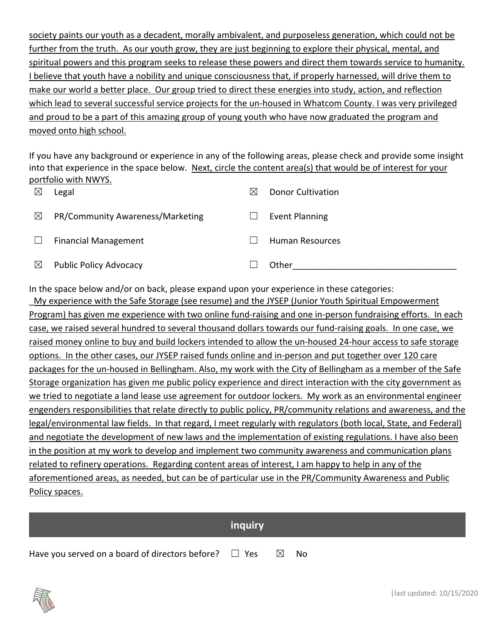society paints our youth as a decadent, morally ambivalent, and purposeless generation, which could not be further from the truth. As our youth grow, they are just beginning to explore their physical, mental, and spiritual powers and this program seeks to release these powers and direct them towards service to humanity. I believe that youth have a nobility and unique consciousness that, if properly harnessed, will drive them to make our world a better place. Our group tried to direct these energies into study, action, and reflection which lead to several successful service projects for the un-housed in Whatcom County. I was very privileged and proud to be a part of this amazing group of young youth who have now graduated the program and moved onto high school.

If you have any background or experience in any of the following areas, please check and provide some insight into that experience in the space below. Next, circle the content area(s) that would be of interest for your portfolio with NWYS.

| $\boxtimes$ | Legal                            | ⋉ | <b>Donor Cultivation</b> |
|-------------|----------------------------------|---|--------------------------|
| $\boxtimes$ | PR/Community Awareness/Marketing |   | <b>Event Planning</b>    |
|             | <b>Financial Management</b>      |   | Human Resources          |
| $\boxtimes$ | <b>Public Policy Advocacy</b>    |   | Other                    |

In the space below and/or on back, please expand upon your experience in these categories: My experience with the Safe Storage (see resume) and the JYSEP (Junior Youth Spiritual Empowerment Program) has given me experience with two online fund‐raising and one in‐person fundraising efforts. In each case, we raised several hundred to several thousand dollars towards our fund-raising goals. In one case, we raised money online to buy and build lockers intended to allow the un-housed 24-hour access to safe storage options. In the other cases, our JYSEP raised funds online and in‐person and put together over 120 care packages for the un-housed in Bellingham. Also, my work with the City of Bellingham as a member of the Safe Storage organization has given me public policy experience and direct interaction with the city government as we tried to negotiate a land lease use agreement for outdoor lockers. My work as an environmental engineer engenders responsibilities that relate directly to public policy, PR/community relations and awareness, and the legal/environmental law fields. In that regard, I meet regularly with regulators (both local, State, and Federal) and negotiate the development of new laws and the implementation of existing regulations. I have also been in the position at my work to develop and implement two community awareness and communication plans related to refinery operations. Regarding content areas of interest, I am happy to help in any of the aforementioned areas, as needed, but can be of particular use in the PR/Community Awareness and Public Policy spaces.

**inquiry** 

Have you served on a board of directors before?  $\Box$  Yes  $\boxtimes$  No

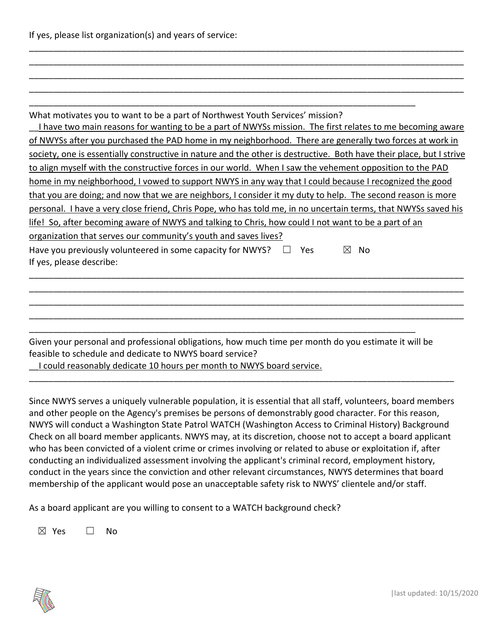If yes, please list organization(s) and years of service:

| What motivates you to want to be a part of Northwest Youth Services' mission?<br>I have two main reasons for wanting to be a part of NWYSs mission. The first relates to me becoming aware |
|--------------------------------------------------------------------------------------------------------------------------------------------------------------------------------------------|
| of NWYSs after you purchased the PAD home in my neighborhood. There are generally two forces at work in                                                                                    |
| society, one is essentially constructive in nature and the other is destructive. Both have their place, but I strive                                                                       |
| to align myself with the constructive forces in our world. When I saw the vehement opposition to the PAD                                                                                   |
| home in my neighborhood, I vowed to support NWYS in any way that I could because I recognized the good                                                                                     |
| that you are doing; and now that we are neighbors, I consider it my duty to help. The second reason is more                                                                                |
| personal. I have a very close friend, Chris Pope, who has told me, in no uncertain terms, that NWYSs saved his                                                                             |
| life! So, after becoming aware of NWYS and talking to Chris, how could I not want to be a part of an                                                                                       |
| organization that serves our community's youth and saves lives?                                                                                                                            |
| Have you previously volunteered in some capacity for NWYS?<br>Yes.<br>Nο<br>M<br>If yes, please describe:                                                                                  |
|                                                                                                                                                                                            |
|                                                                                                                                                                                            |
|                                                                                                                                                                                            |

\_\_\_\_\_\_\_\_\_\_\_\_\_\_\_\_\_\_\_\_\_\_\_\_\_\_\_\_\_\_\_\_\_\_\_\_\_\_\_\_\_\_\_\_\_\_\_\_\_\_\_\_\_\_\_\_\_\_\_\_\_\_\_\_\_\_\_\_\_\_\_\_\_\_\_\_\_\_\_\_\_\_\_\_\_\_\_\_\_\_ \_\_\_\_\_\_\_\_\_\_\_\_\_\_\_\_\_\_\_\_\_\_\_\_\_\_\_\_\_\_\_\_\_\_\_\_\_\_\_\_\_\_\_\_\_\_\_\_\_\_\_\_\_\_\_\_\_\_\_\_\_\_\_\_\_\_\_\_\_\_\_\_\_\_\_\_\_\_\_\_\_\_\_\_\_\_\_\_\_\_ \_\_\_\_\_\_\_\_\_\_\_\_\_\_\_\_\_\_\_\_\_\_\_\_\_\_\_\_\_\_\_\_\_\_\_\_\_\_\_\_\_\_\_\_\_\_\_\_\_\_\_\_\_\_\_\_\_\_\_\_\_\_\_\_\_\_\_\_\_\_\_\_\_\_\_\_\_\_\_\_\_\_\_\_\_\_\_\_\_\_ \_\_\_\_\_\_\_\_\_\_\_\_\_\_\_\_\_\_\_\_\_\_\_\_\_\_\_\_\_\_\_\_\_\_\_\_\_\_\_\_\_\_\_\_\_\_\_\_\_\_\_\_\_\_\_\_\_\_\_\_\_\_\_\_\_\_\_\_\_\_\_\_\_\_\_\_\_\_\_\_\_\_\_\_\_\_\_\_\_\_

Given your personal and professional obligations, how much time per month do you estimate it will be feasible to schedule and dedicate to NWYS board service?

\_\_I could reasonably dedicate 10 hours per month to NWYS board service.

Since NWYS serves a uniquely vulnerable population, it is essential that all staff, volunteers, board members and other people on the Agency's premises be persons of demonstrably good character. For this reason, NWYS will conduct a Washington State Patrol WATCH (Washington Access to Criminal History) Background Check on all board member applicants. NWYS may, at its discretion, choose not to accept a board applicant who has been convicted of a violent crime or crimes involving or related to abuse or exploitation if, after conducting an individualized assessment involving the applicant's criminal record, employment history, conduct in the years since the conviction and other relevant circumstances, NWYS determines that board membership of the applicant would pose an unacceptable safety risk to NWYS' clientele and/or staff.

\_\_\_\_\_\_\_\_\_\_\_\_\_\_\_\_\_\_\_\_\_\_\_\_\_\_\_\_\_\_\_\_\_\_\_\_\_\_\_\_\_\_\_\_\_\_\_\_\_\_\_\_\_\_\_\_\_\_\_\_\_\_\_\_\_\_\_\_\_\_\_\_\_\_\_\_\_\_\_\_\_\_\_\_\_\_\_\_

As a board applicant are you willing to consent to a WATCH background check?

 $\boxtimes$  Yes  $\Box$  No